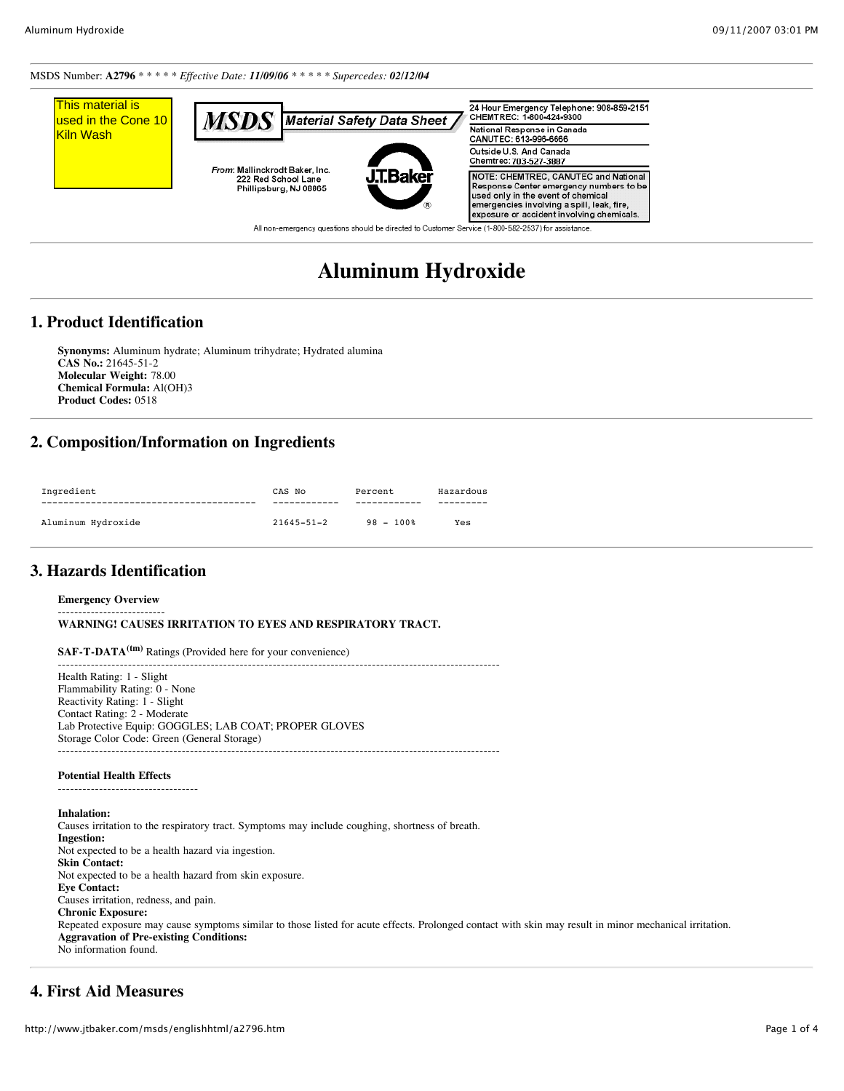MSDS Number: **A2796** \* \* \* \* \* *Effective Date: 11/09/06 \* \* \* \* \* Supercedes: 02/12/04*



# **Aluminum Hydroxide**

# **1. Product Identification**

**Synonyms:** Aluminum hydrate; Aluminum trihydrate; Hydrated alumina **CAS No.:** 21645-51-2 **Molecular Weight:** 78.00 **Chemical Formula:** Al(OH)3 **Product Codes:** 0518

# **2. Composition/Information on Ingredients**

| Ingredient         | CAS No           | Percent    | Hazardous |
|--------------------|------------------|------------|-----------|
|                    |                  |            |           |
| Aluminum Hydroxide | $21645 - 51 - 2$ | $98 - 100$ | Yes       |

# **3. Hazards Identification**

#### **Emergency Overview**

-------------------------- **WARNING! CAUSES IRRITATION TO EYES AND RESPIRATORY TRACT.**

**SAF-T-DATA(tm)** Ratings (Provided here for your convenience)

----------------------------------------------------------------------------------------------------------- Health Rating: 1 - Slight Flammability Rating: 0 - None Reactivity Rating: 1 - Slight Contact Rating: 2 - Moderate Lab Protective Equip: GOGGLES; LAB COAT; PROPER GLOVES Storage Color Code: Green (General Storage) -----------------------------------------------------------------------------------------------------------

#### **Potential Health Effects**

----------------------------------

**Inhalation:** Causes irritation to the respiratory tract. Symptoms may include coughing, shortness of breath. **Ingestion:** Not expected to be a health hazard via ingestion. **Skin Contact:** Not expected to be a health hazard from skin exposure. **Eye Contact:** Causes irritation, redness, and pain. **Chronic Exposure:** Repeated exposure may cause symptoms similar to those listed for acute effects. Prolonged contact with skin may result in minor mechanical irritation. **Aggravation of Pre-existing Conditions:** No information found.

# **4. First Aid Measures**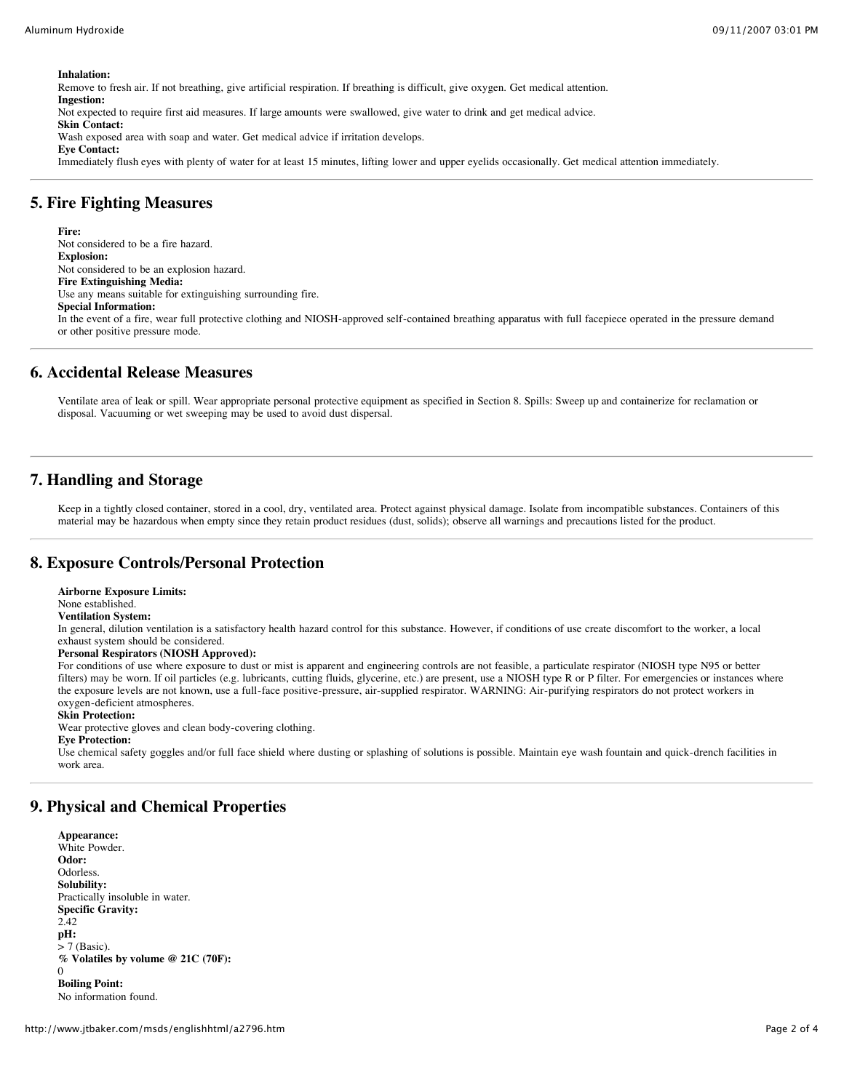**Inhalation:**

Remove to fresh air. If not breathing, give artificial respiration. If breathing is difficult, give oxygen. Get medical attention. **Ingestion:** Not expected to require first aid measures. If large amounts were swallowed, give water to drink and get medical advice. **Skin Contact:**

Wash exposed area with soap and water. Get medical advice if irritation develops. **Eye Contact:**

Immediately flush eyes with plenty of water for at least 15 minutes, lifting lower and upper eyelids occasionally. Get medical attention immediately.

### **5. Fire Fighting Measures**

**Fire:** Not considered to be a fire hazard. **Explosion:** Not considered to be an explosion hazard. **Fire Extinguishing Media:** Use any means suitable for extinguishing surrounding fire. **Special Information:** In the event of a fire, wear full protective clothing and NIOSH-approved self-contained breathing apparatus with full facepiece operated in the pressure demand or other positive pressure mode.

# **6. Accidental Release Measures**

Ventilate area of leak or spill. Wear appropriate personal protective equipment as specified in Section 8. Spills: Sweep up and containerize for reclamation or disposal. Vacuuming or wet sweeping may be used to avoid dust dispersal.

# **7. Handling and Storage**

Keep in a tightly closed container, stored in a cool, dry, ventilated area. Protect against physical damage. Isolate from incompatible substances. Containers of this material may be hazardous when empty since they retain product residues (dust, solids); observe all warnings and precautions listed for the product.

# **8. Exposure Controls/Personal Protection**

**Airborne Exposure Limits:**

None established.

**Ventilation System:**

In general, dilution ventilation is a satisfactory health hazard control for this substance. However, if conditions of use create discomfort to the worker, a local exhaust system should be considered.

#### **Personal Respirators (NIOSH Approved):**

For conditions of use where exposure to dust or mist is apparent and engineering controls are not feasible, a particulate respirator (NIOSH type N95 or better filters) may be worn. If oil particles (e.g. lubricants, cutting fluids, glycerine, etc.) are present, use a NIOSH type R or P filter. For emergencies or instances where the exposure levels are not known, use a full-face positive-pressure, air-supplied respirator. WARNING: Air-purifying respirators do not protect workers in oxygen-deficient atmospheres.

#### **Skin Protection:**

Wear protective gloves and clean body-covering clothing.

#### **Eye Protection:**

Use chemical safety goggles and/or full face shield where dusting or splashing of solutions is possible. Maintain eye wash fountain and quick-drench facilities in work area.

# **9. Physical and Chemical Properties**

**Appearance:** White Powder. **Odor:** Odorless. **Solubility:** Practically insoluble in water. **Specific Gravity:** 2.42 **pH:**  $>$  7 (Basic). **% Volatiles by volume @ 21C (70F):**  $\Omega$ **Boiling Point:** No information found.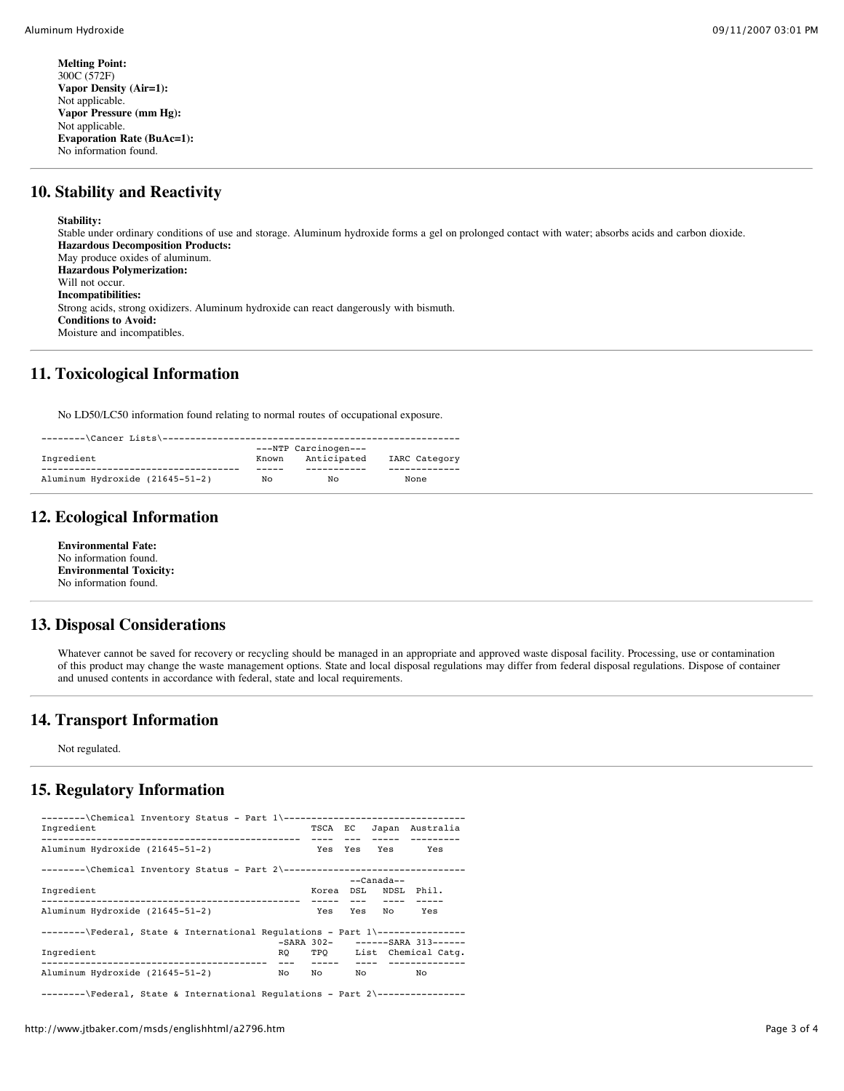**Melting Point:** 300C (572F) **Vapor Density (Air=1):** Not applicable. **Vapor Pressure (mm Hg):** Not applicable. **Evaporation Rate (BuAc=1):** No information found.

# **10. Stability and Reactivity**

#### **Stability:**

Stable under ordinary conditions of use and storage. Aluminum hydroxide forms a gel on prolonged contact with water; absorbs acids and carbon dioxide. **Hazardous Decomposition Products:** May produce oxides of aluminum. **Hazardous Polymerization:** Will not occur. **Incompatibilities:** Strong acids, strong oxidizers. Aluminum hydroxide can react dangerously with bismuth. **Conditions to Avoid:** Moisture and incompatibles.

# **11. Toxicological Information**

No LD50/LC50 information found relating to normal routes of occupational exposure.

|                                 |       | ---NTP Carcinogen--- |               |
|---------------------------------|-------|----------------------|---------------|
| Ingredient                      | Known | Anticipated          | IARC Category |
|                                 |       |                      |               |
| Aluminum Hydroxide (21645-51-2) | NΟ    | NΟ                   | None          |

# **12. Ecological Information**

**Environmental Fate:** No information found. **Environmental Toxicity:** No information found.

# **13. Disposal Considerations**

Whatever cannot be saved for recovery or recycling should be managed in an appropriate and approved waste disposal facility. Processing, use or contamination of this product may change the waste management options. State and local disposal regulations may differ from federal disposal regulations. Dispose of container and unused contents in accordance with federal, state and local requirements.

# **14. Transport Information**

Not regulated.

# **15. Regulatory Information**

| --------\Chemical Inventory Status - Part 1\----------------------------------<br>Ingredient |               | TSCA EC              |       |    | Japan Australia                                |
|----------------------------------------------------------------------------------------------|---------------|----------------------|-------|----|------------------------------------------------|
| Aluminum Hydroxide (21645-51-2)                                                              |               | $\frac{1}{2}$<br>Yes | $---$ |    | ----- ---------<br>Yes Yes Yes                 |
| --------\Chemical Inventory Status - Part 2\----------------------------------               |               |                      |       |    |                                                |
|                                                                                              | $---Canada--$ |                      |       |    |                                                |
| Ingredient                                                                                   |               |                      |       |    | Korea DSL NDSL Phil.                           |
| Aluminum Hydroxide (21645-51-2)                                                              |               | Yes                  | Yes   |    | No Yes                                         |
| --------\Federal, State & International Requlations - Part 1\----------------                |               |                      |       |    |                                                |
|                                                                                              |               |                      |       |    | -SARA 302- ------SARA 313------                |
| Ingredient                                                                                   | RO DO         | ------               |       |    | TPO List Chemical Catq.<br>---- -------------- |
| Aluminum Hydroxide (21645-51-2)                                                              | No            | Noted                |       | No | No                                             |
| --------\Federal, State & International Requlations - Part 2\----------------                |               |                      |       |    |                                                |